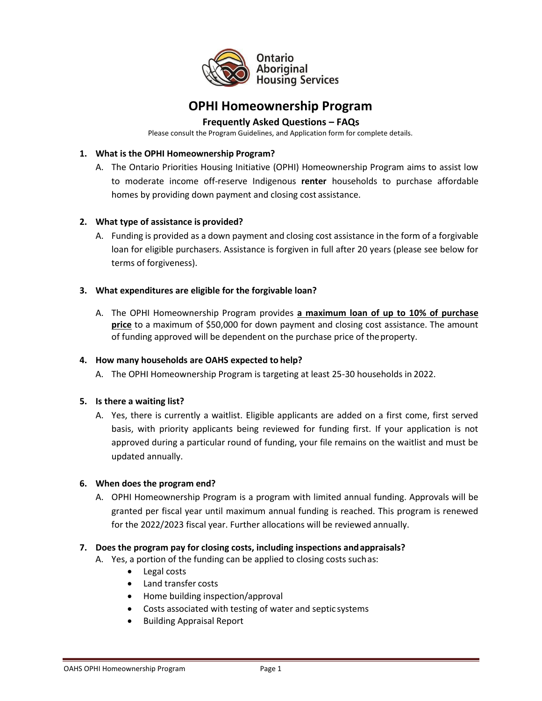

# **OPHI Homeownership Program**

# **Frequently Asked Questions – FAQs**

Please consult the Program Guidelines, and Application form for complete details.

#### **1. What is the OPHI Homeownership Program?**

A. The Ontario Priorities Housing Initiative (OPHI) Homeownership Program aims to assist low to moderate income off-reserve Indigenous **renter** households to purchase affordable homes by providing down payment and closing cost assistance.

#### **2. What type of assistance is provided?**

A. Funding is provided as a down payment and closing cost assistance in the form of a forgivable loan for eligible purchasers. Assistance is forgiven in full after 20 years (please see below for terms of forgiveness).

#### **3. What expenditures are eligible for the forgivable loan?**

A. The OPHI Homeownership Program provides **a maximum loan of up to 10% of purchase price** to a maximum of \$50,000 for down payment and closing cost assistance. The amount of funding approved will be dependent on the purchase price of the property.

#### **4. How many households are OAHS expected to help?**

A. The OPHI Homeownership Program is targeting at least 25-30 households in 2022.

#### **5. Is there a waiting list?**

A. Yes, there is currently a waitlist. Eligible applicants are added on a first come, first served basis, with priority applicants being reviewed for funding first. If your application is not approved during a particular round of funding, your file remains on the waitlist and must be updated annually.

#### **6. When does the program end?**

A. OPHI Homeownership Program is a program with limited annual funding. Approvals will be granted per fiscal year until maximum annual funding is reached. This program is renewed for the 2022/2023 fiscal year. Further allocations will be reviewed annually.

#### **7. Does the program pay for closing costs, including inspections and appraisals?**

- A. Yes, a portion of the funding can be applied to closing costs such as:
	- Legal costs
	- Land transfer costs
	- Home building inspection/approval
	- Costs associated with testing of water and septic systems
	- Building Appraisal Report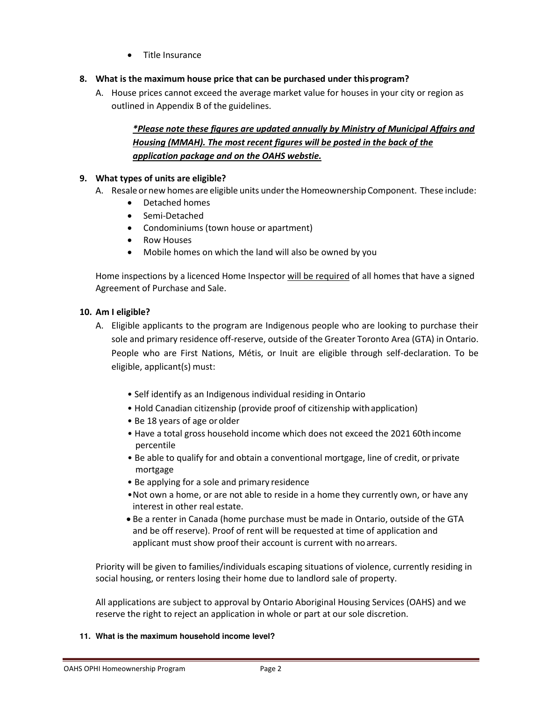- Title Insurance
- **8. What is the maximum house price that can be purchased under this program?** 
	- A. House prices cannot exceed the average market value for houses in your city or region as outlined in Appendix B of the guidelines.

# *\*Please note these figures are updated annually by Ministry of Municipal Affairs and Housing (MMAH). The most recent figures will be posted in the back of the application package and on the OAHS webstie.*

## **9. What types of units are eligible?**

- A. Resale or new homes are eligible units under the Homeownership Component. These include:
	- Detached homes
	- Semi-Detached
	- Condominiums (town house or apartment)
	- Row Houses
	- Mobile homes on which the land will also be owned by you

Home inspections by a licenced Home Inspector will be required of all homes that have a signed Agreement of Purchase and Sale.

#### **10. Am I eligible?**

- A. Eligible applicants to the program are Indigenous people who are looking to purchase their sole and primary residence off-reserve, outside of the Greater Toronto Area (GTA) in Ontario. People who are First Nations, Métis, or Inuit are eligible through self-declaration. To be eligible, applicant(s) must:
	- Self identify as an Indigenous individual residing in Ontario
	- Hold Canadian citizenship (provide proof of citizenship with application)
	- Be 18 years of age or older
	- Have a total gross household income which does not exceed the 2021 60th income percentile
	- Be able to qualify for and obtain a conventional mortgage, line of credit, or private mortgage
	- Be applying for a sole and primary residence
	- •Not own a home, or are not able to reside in a home they currently own, or have any interest in other real estate.
	- Be a renter in Canada (home purchase must be made in Ontario, outside of the GTA and be off reserve). Proof of rent will be requested at time of application and applicant must show proof their account is current with no arrears.

Priority will be given to families/individuals escaping situations of violence, currently residing in social housing, or renters losing their home due to landlord sale of property.

All applications are subject to approval by Ontario Aboriginal Housing Services (OAHS) and we reserve the right to reject an application in whole or part at our sole discretion.

**11. What is the maximum household income level?**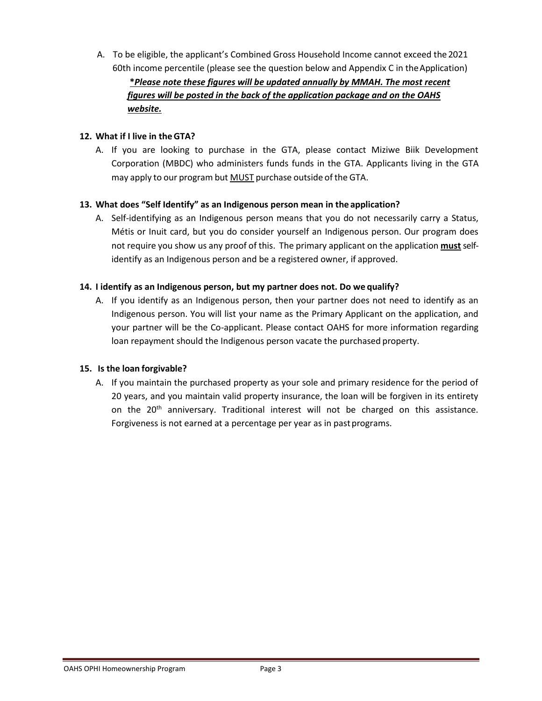A. To be eligible, the applicant's Combined Gross Household Income cannot exceed the 2021 60th income percentile (please see the question below and Appendix C in the Application)

**\****Please note these figures will be updated annually by MMAH. The most recent figures will be posted in the back of the application package and on the OAHS website.* 

## **12. What if I live in the GTA?**

A. If you are looking to purchase in the GTA, please contact Miziwe Biik Development Corporation (MBDC) who administers funds funds in the GTA. Applicants living in the GTA may apply to our program but MUST purchase outside of the GTA.

#### **13. What does "Self Identify" as an Indigenous person mean in the application?**

A. Self-identifying as an Indigenous person means that you do not necessarily carry a Status, Métis or Inuit card, but you do consider yourself an Indigenous person. Our program does not require you show us any proof of this. The primary applicant on the application **must** selfidentify as an Indigenous person and be a registered owner, if approved.

#### **14. I identify as an Indigenous person, but my partner does not. Do we qualify?**

A. If you identify as an Indigenous person, then your partner does not need to identify as an Indigenous person. You will list your name as the Primary Applicant on the application, and your partner will be the Co-applicant. Please contact OAHS for more information regarding loan repayment should the Indigenous person vacate the purchased property.

#### **15. Is the loan forgivable?**

A. If you maintain the purchased property as your sole and primary residence for the period of 20 years, and you maintain valid property insurance, the loan will be forgiven in its entirety on the 20<sup>th</sup> anniversary. Traditional interest will not be charged on this assistance. Forgiveness is not earned at a percentage per year as in past programs.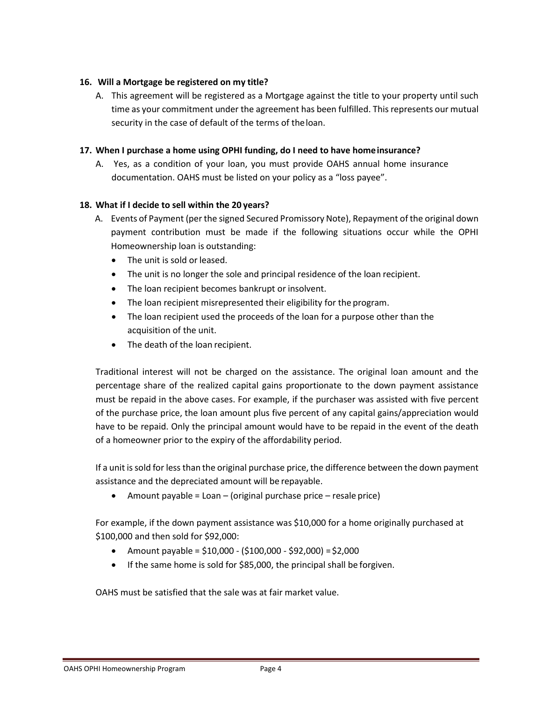#### **16. Will a Mortgage be registered on my title?**

A. This agreement will be registered as a Mortgage against the title to your property until such time as your commitment under the agreement has been fulfilled. This represents our mutual security in the case of default of the terms of the loan.

#### **17. When I purchase a home using OPHI funding, do I need to have home insurance?**

A. Yes, as a condition of your loan, you must provide OAHS annual home insurance documentation. OAHS must be listed on your policy as a "loss payee".

#### **18. What if I decide to sell within the 20 years?**

- A. Events of Payment (per the signed Secured Promissory Note), Repayment of the original down payment contribution must be made if the following situations occur while the OPHI Homeownership loan is outstanding:
	- The unit is sold or leased.
	- The unit is no longer the sole and principal residence of the loan recipient.
	- The loan recipient becomes bankrupt or insolvent.
	- The loan recipient misrepresented their eligibility for the program.
	- The loan recipient used the proceeds of the loan for a purpose other than the acquisition of the unit.
	- The death of the loan recipient.

Traditional interest will not be charged on the assistance. The original loan amount and the percentage share of the realized capital gains proportionate to the down payment assistance must be repaid in the above cases. For example, if the purchaser was assisted with five percent of the purchase price, the loan amount plus five percent of any capital gains/appreciation would have to be repaid. Only the principal amount would have to be repaid in the event of the death of a homeowner prior to the expiry of the affordability period.

If a unit is sold for less than the original purchase price, the difference between the down payment assistance and the depreciated amount will be repayable.

• Amount payable =  $Loan - (original purchase price - residue price)$ 

For example, if the down payment assistance was \$10,000 for a home originally purchased at \$100,000 and then sold for \$92,000:

- Amount payable =  $$10,000 ($100,000 $92,000) = $2,000$
- If the same home is sold for \$85,000, the principal shall be forgiven.

OAHS must be satisfied that the sale was at fair market value.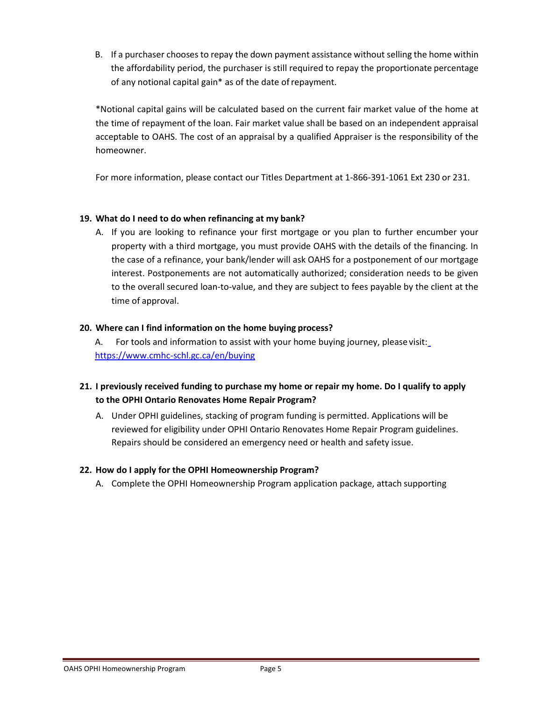B. If a purchaser chooses to repay the down payment assistance without selling the home within the affordability period, the purchaser is still required to repay the proportionate percentage of any notional capital gain\* as of the date of repayment.

\*Notional capital gains will be calculated based on the current fair market value of the home at the time of repayment of the loan. Fair market value shall be based on an independent appraisal acceptable to OAHS. The cost of an appraisal by a qualified Appraiser is the responsibility of the homeowner.

For more information, please contact our Titles Department at 1-866-391-1061 Ext 230 or 231.

#### **19. What do I need to do when refinancing at my bank?**

A. If you are looking to refinance your first mortgage or you plan to further encumber your property with a third mortgage, you must provide OAHS with the details of the financing. In the case of a refinance, your bank/lender will ask OAHS for a postponement of our mortgage interest. Postponements are not automatically authorized; consideration needs to be given to the overall secured loan-to-value, and they are subject to fees payable by the client at the time of approval.

#### **20. Where can I find information on the home buying process?**

A. For tools and information to assist with your home buying journey, please visit[:](https://www.cmhc-schl.gc.ca/en/buying) <https://www.cmhc-schl.gc.ca/en/buying>

# **21. I previously received funding to purchase my home or repair my home. Do I qualify to apply to the OPHI Ontario Renovates Home Repair Program?**

A. Under OPHI guidelines, stacking of program funding is permitted. Applications will be reviewed for eligibility under OPHI Ontario Renovates Home Repair Program guidelines. Repairs should be considered an emergency need or health and safety issue.

## **22. How do I apply for the OPHI Homeownership Program?**

A. Complete the OPHI Homeownership Program application package, attach supporting